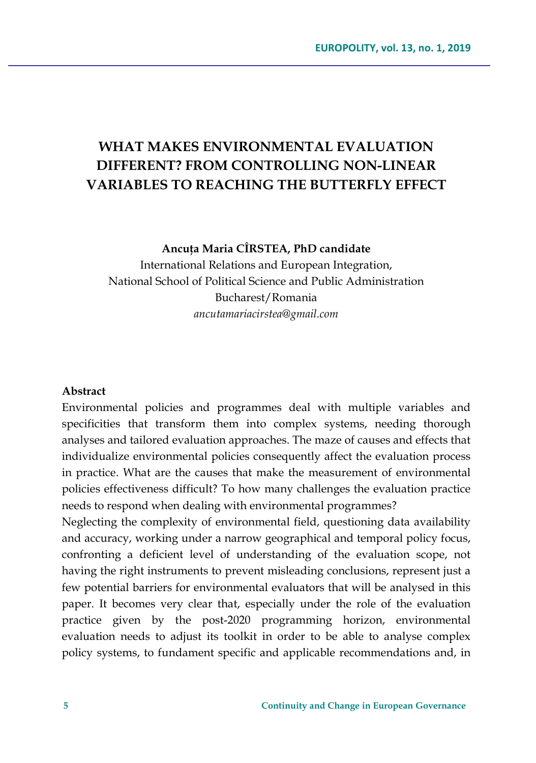# **WHAT MAKES ENVIRONMENTAL EVALUATION DIFFERENT? FROM CONTROLLING NON-LINEAR VARIABLES TO REACHING THE BUTTERFLY EFFECT**

**Ancuţa Maria CÎRSTEA, PhD candidate**

International Relations and European Integration, National School of Political Science and Public Administration Bucharest/Romania *ancutamariacirstea@gmail.com*

### **Abstract**

Environmental policies and programmes deal with multiple variables and specificities that transform them into complex systems, needing thorough analyses and tailored evaluation approaches. The maze of causes and effects that individualize environmental policies consequently affect the evaluation process in practice. What are the causes that make the measurement of environmental policies effectiveness difficult? To how many challenges the evaluation practice needs to respond when dealing with environmental programmes?

Neglecting the complexity of environmental field, questioning data availability and accuracy, working under a narrow geographical and temporal policy focus, confronting a deficient level of understanding of the evaluation scope, not having the right instruments to prevent misleading conclusions, represent just a few potential barriers for environmental evaluators that will be analysed in this paper. It becomes very clear that, especially under the role of the evaluation practice given by the post-2020 programming horizon, environmental evaluation needs to adjust its toolkit in order to be able to analyse complex policy systems, to fundament specific and applicable recommendations and, in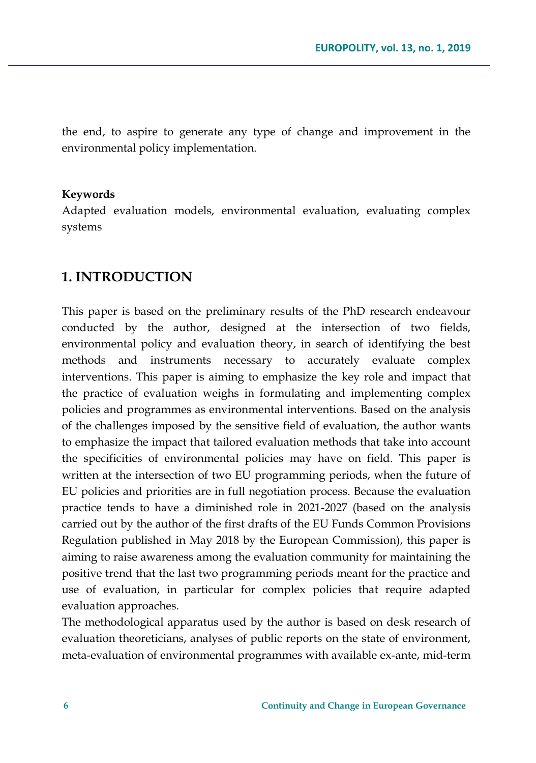the end, to aspire to generate any type of change and improvement in the environmental policy implementation.

### **Keywords**

Adapted evaluation models, environmental evaluation, evaluating complex systems

## **1. INTRODUCTION**

This paper is based on the preliminary results of the PhD research endeavour conducted by the author, designed at the intersection of two fields, environmental policy and evaluation theory, in search of identifying the best methods and instruments necessary to accurately evaluate complex interventions. This paper is aiming to emphasize the key role and impact that the practice of evaluation weighs in formulating and implementing complex policies and programmes as environmental interventions. Based on the analysis of the challenges imposed by the sensitive field of evaluation, the author wants to emphasize the impact that tailored evaluation methods that take into account the specificities of environmental policies may have on field. This paper is written at the intersection of two EU programming periods, when the future of EU policies and priorities are in full negotiation process. Because the evaluation practice tends to have a diminished role in 2021-2027 (based on the analysis carried out by the author of the first drafts of the EU Funds Common Provisions Regulation published in May 2018 by the European Commission), this paper is aiming to raise awareness among the evaluation community for maintaining the positive trend that the last two programming periods meant for the practice and use of evaluation, in particular for complex policies that require adapted evaluation approaches.

The methodological apparatus used by the author is based on desk research of evaluation theoreticians, analyses of public reports on the state of environment, meta-evaluation of environmental programmes with available ex-ante, mid-term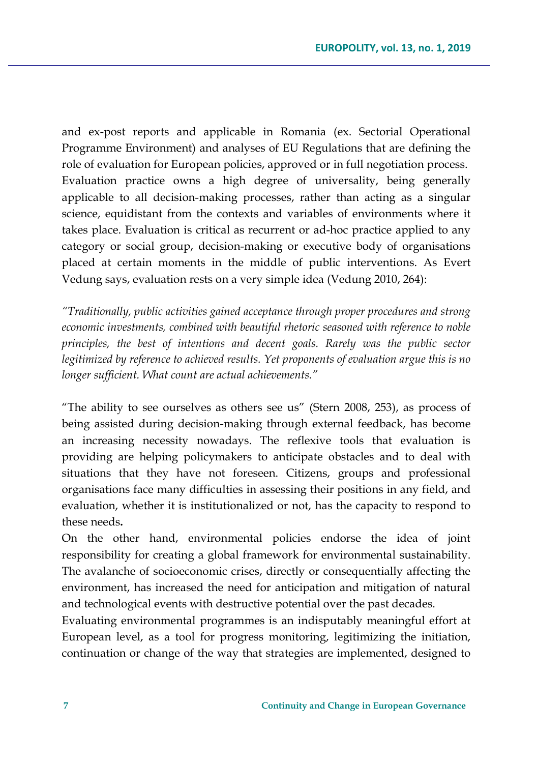and ex-post reports and applicable in Romania (ex. Sectorial Operational Programme Environment) and analyses of EU Regulations that are defining the role of evaluation for European policies, approved or in full negotiation process. Evaluation practice owns a high degree of universality, being generally applicable to all decision-making processes, rather than acting as a singular science, equidistant from the contexts and variables of environments where it takes place. Evaluation is critical as recurrent or ad-hoc practice applied to any category or social group, decision-making or executive body of organisations placed at certain moments in the middle of public interventions. As Evert Vedung says, evaluation rests on a very simple idea (Vedung 2010, 264):

*"Traditionally, public activities gained acceptance through proper procedures and strong economic investments, combined with beautiful rhetoric seasoned with reference to noble principles, the best of intentions and decent goals. Rarely was the public sector legitimized by reference to achieved results. Yet proponents of evaluation argue this is no longer sufficient. What count are actual achievements."* 

"The ability to see ourselves as others see us" (Stern 2008, 253), as process of being assisted during decision-making through external feedback, has become an increasing necessity nowadays. The reflexive tools that evaluation is providing are helping policymakers to anticipate obstacles and to deal with situations that they have not foreseen. Citizens, groups and professional organisations face many difficulties in assessing their positions in any field, and evaluation, whether it is institutionalized or not, has the capacity to respond to these needs**.**

On the other hand, environmental policies endorse the idea of joint responsibility for creating a global framework for environmental sustainability. The avalanche of socioeconomic crises, directly or consequentially affecting the environment, has increased the need for anticipation and mitigation of natural and technological events with destructive potential over the past decades.

Evaluating environmental programmes is an indisputably meaningful effort at European level, as a tool for progress monitoring, legitimizing the initiation, continuation or change of the way that strategies are implemented, designed to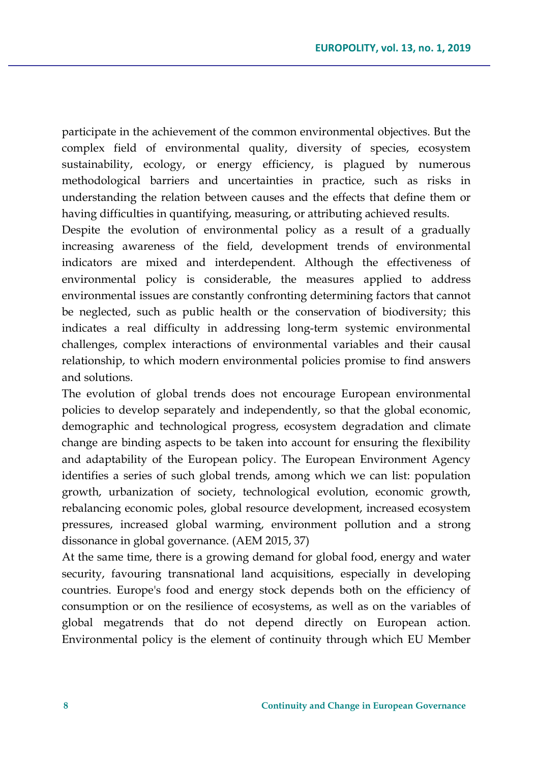participate in the achievement of the common environmental objectives. But the complex field of environmental quality, diversity of species, ecosystem sustainability, ecology, or energy efficiency, is plagued by numerous methodological barriers and uncertainties in practice, such as risks in understanding the relation between causes and the effects that define them or having difficulties in quantifying, measuring, or attributing achieved results.

Despite the evolution of environmental policy as a result of a gradually increasing awareness of the field, development trends of environmental indicators are mixed and interdependent. Although the effectiveness of environmental policy is considerable, the measures applied to address environmental issues are constantly confronting determining factors that cannot be neglected, such as public health or the conservation of biodiversity; this indicates a real difficulty in addressing long-term systemic environmental challenges, complex interactions of environmental variables and their causal relationship, to which modern environmental policies promise to find answers and solutions.

The evolution of global trends does not encourage European environmental policies to develop separately and independently, so that the global economic, demographic and technological progress, ecosystem degradation and climate change are binding aspects to be taken into account for ensuring the flexibility and adaptability of the European policy. The European Environment Agency identifies a series of such global trends, among which we can list: population growth, urbanization of society, technological evolution, economic growth, rebalancing economic poles, global resource development, increased ecosystem pressures, increased global warming, environment pollution and a strong dissonance in global governance. (AEM 2015, 37)

At the same time, there is a growing demand for global food, energy and water security, favouring transnational land acquisitions, especially in developing countries. Europe's food and energy stock depends both on the efficiency of consumption or on the resilience of ecosystems, as well as on the variables of global megatrends that do not depend directly on European action. Environmental policy is the element of continuity through which EU Member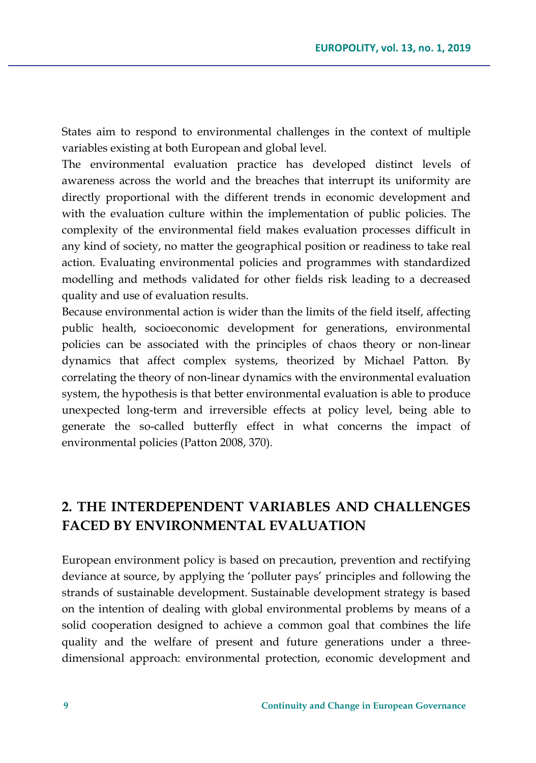States aim to respond to environmental challenges in the context of multiple variables existing at both European and global level.

The environmental evaluation practice has developed distinct levels of awareness across the world and the breaches that interrupt its uniformity are directly proportional with the different trends in economic development and with the evaluation culture within the implementation of public policies. The complexity of the environmental field makes evaluation processes difficult in any kind of society, no matter the geographical position or readiness to take real action. Evaluating environmental policies and programmes with standardized modelling and methods validated for other fields risk leading to a decreased quality and use of evaluation results.

Because environmental action is wider than the limits of the field itself, affecting public health, socioeconomic development for generations, environmental policies can be associated with the principles of chaos theory or non-linear dynamics that affect complex systems, theorized by Michael Patton. By correlating the theory of non-linear dynamics with the environmental evaluation system, the hypothesis is that better environmental evaluation is able to produce unexpected long-term and irreversible effects at policy level, being able to generate the so-called butterfly effect in what concerns the impact of environmental policies (Patton 2008, 370).

## **2. THE INTERDEPENDENT VARIABLES AND CHALLENGES FACED BY ENVIRONMENTAL EVALUATION**

European environment policy is based on precaution, prevention and rectifying deviance at source, by applying the 'polluter pays' principles and following the strands of sustainable development. Sustainable development strategy is based on the intention of dealing with global environmental problems by means of a solid cooperation designed to achieve a common goal that combines the life quality and the welfare of present and future generations under a threedimensional approach: environmental protection, economic development and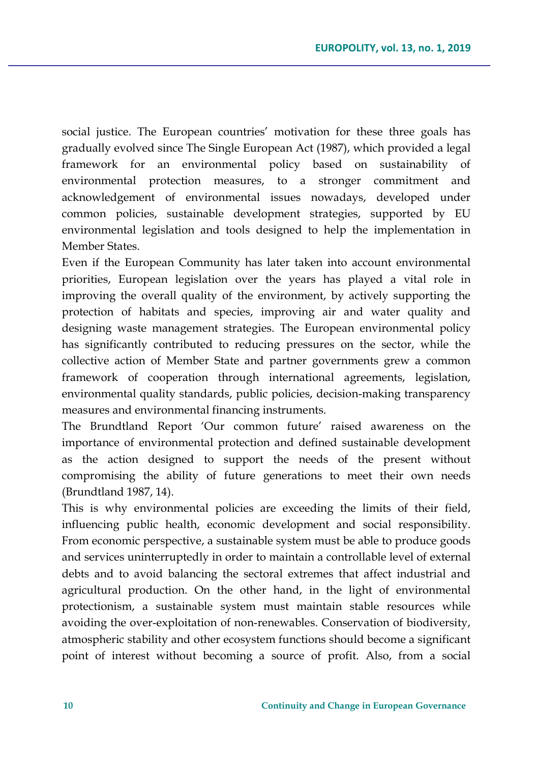social justice. The European countries' motivation for these three goals has gradually evolved since The Single European Act (1987), which provided a legal framework for an environmental policy based on sustainability of environmental protection measures, to a stronger commitment and acknowledgement of environmental issues nowadays, developed under common policies, sustainable development strategies, supported by EU environmental legislation and tools designed to help the implementation in Member States.

Even if the European Community has later taken into account environmental priorities, European legislation over the years has played a vital role in improving the overall quality of the environment, by actively supporting the protection of habitats and species, improving air and water quality and designing waste management strategies. The European environmental policy has significantly contributed to reducing pressures on the sector, while the collective action of Member State and partner governments grew a common framework of cooperation through international agreements, legislation, environmental quality standards, public policies, decision-making transparency measures and environmental financing instruments.

The Brundtland Report 'Our common future' raised awareness on the importance of environmental protection and defined sustainable development as the action designed to support the needs of the present without compromising the ability of future generations to meet their own needs (Brundtland 1987, 14).

This is why environmental policies are exceeding the limits of their field, influencing public health, economic development and social responsibility. From economic perspective, a sustainable system must be able to produce goods and services uninterruptedly in order to maintain a controllable level of external debts and to avoid balancing the sectoral extremes that affect industrial and agricultural production. On the other hand, in the light of environmental protectionism, a sustainable system must maintain stable resources while avoiding the over-exploitation of non-renewables. Conservation of biodiversity, atmospheric stability and other ecosystem functions should become a significant point of interest without becoming a source of profit. Also, from a social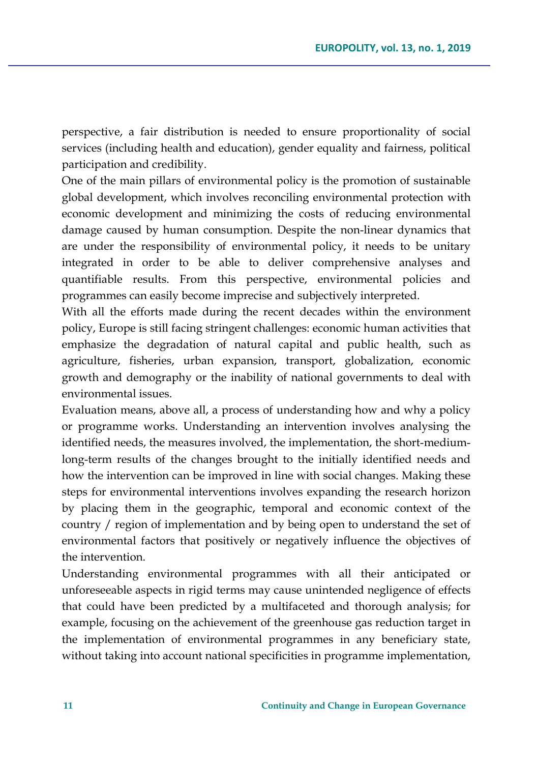perspective, a fair distribution is needed to ensure proportionality of social services (including health and education), gender equality and fairness, political participation and credibility.

One of the main pillars of environmental policy is the promotion of sustainable global development, which involves reconciling environmental protection with economic development and minimizing the costs of reducing environmental damage caused by human consumption. Despite the non-linear dynamics that are under the responsibility of environmental policy, it needs to be unitary integrated in order to be able to deliver comprehensive analyses and quantifiable results. From this perspective, environmental policies and programmes can easily become imprecise and subjectively interpreted.

With all the efforts made during the recent decades within the environment policy, Europe is still facing stringent challenges: economic human activities that emphasize the degradation of natural capital and public health, such as agriculture, fisheries, urban expansion, transport, globalization, economic growth and demography or the inability of national governments to deal with environmental issues.

Evaluation means, above all, a process of understanding how and why a policy or programme works. Understanding an intervention involves analysing the identified needs, the measures involved, the implementation, the short-mediumlong-term results of the changes brought to the initially identified needs and how the intervention can be improved in line with social changes. Making these steps for environmental interventions involves expanding the research horizon by placing them in the geographic, temporal and economic context of the country / region of implementation and by being open to understand the set of environmental factors that positively or negatively influence the objectives of the intervention.

Understanding environmental programmes with all their anticipated or unforeseeable aspects in rigid terms may cause unintended negligence of effects that could have been predicted by a multifaceted and thorough analysis; for example, focusing on the achievement of the greenhouse gas reduction target in the implementation of environmental programmes in any beneficiary state, without taking into account national specificities in programme implementation,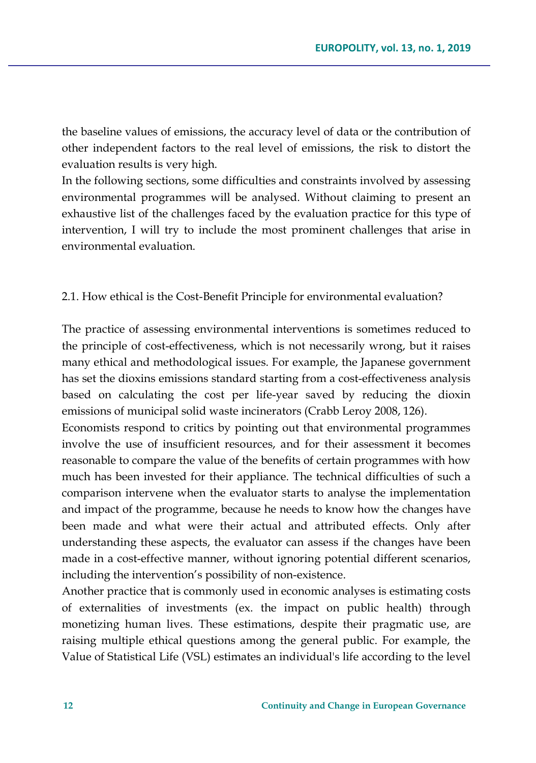the baseline values of emissions, the accuracy level of data or the contribution of other independent factors to the real level of emissions, the risk to distort the evaluation results is very high.

In the following sections, some difficulties and constraints involved by assessing environmental programmes will be analysed. Without claiming to present an exhaustive list of the challenges faced by the evaluation practice for this type of intervention, I will try to include the most prominent challenges that arise in environmental evaluation.

### 2.1. How ethical is the Cost-Benefit Principle for environmental evaluation?

The practice of assessing environmental interventions is sometimes reduced to the principle of cost-effectiveness, which is not necessarily wrong, but it raises many ethical and methodological issues. For example, the Japanese government has set the dioxins emissions standard starting from a cost-effectiveness analysis based on calculating the cost per life-year saved by reducing the dioxin emissions of municipal solid waste incinerators (Crabb Leroy 2008, 126).

Economists respond to critics by pointing out that environmental programmes involve the use of insufficient resources, and for their assessment it becomes reasonable to compare the value of the benefits of certain programmes with how much has been invested for their appliance. The technical difficulties of such a comparison intervene when the evaluator starts to analyse the implementation and impact of the programme, because he needs to know how the changes have been made and what were their actual and attributed effects. Only after understanding these aspects, the evaluator can assess if the changes have been made in a cost-effective manner, without ignoring potential different scenarios, including the intervention's possibility of non-existence.

Another practice that is commonly used in economic analyses is estimating costs of externalities of investments (ex. the impact on public health) through monetizing human lives. These estimations, despite their pragmatic use, are raising multiple ethical questions among the general public. For example, the Value of Statistical Life (VSL) estimates an individual's life according to the level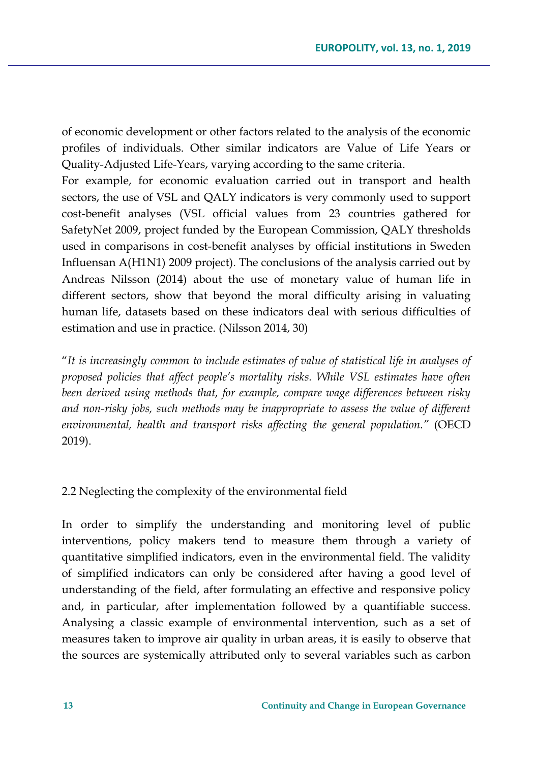of economic development or other factors related to the analysis of the economic profiles of individuals. Other similar indicators are Value of Life Years or Quality-Adjusted Life-Years, varying according to the same criteria.

For example, for economic evaluation carried out in transport and health sectors, the use of VSL and QALY indicators is very commonly used to support cost-benefit analyses (VSL official values from 23 countries gathered for SafetyNet 2009, project funded by the European Commission, QALY thresholds used in comparisons in cost-benefit analyses by official institutions in Sweden Influensan A(H1N1) 2009 project). The conclusions of the analysis carried out by Andreas Nilsson (2014) about the use of monetary value of human life in different sectors, show that beyond the moral difficulty arising in valuating human life, datasets based on these indicators deal with serious difficulties of estimation and use in practice. (Nilsson 2014, 30)

"*It is increasingly common to include estimates of value of statistical life in analyses of proposed policies that affect people's mortality risks. While VSL estimates have often been derived using methods that, for example, compare wage differences between risky and non-risky jobs, such methods may be inappropriate to assess the value of different environmental, health and transport risks affecting the general population."* (OECD 2019).

2.2 Neglecting the complexity of the environmental field

In order to simplify the understanding and monitoring level of public interventions, policy makers tend to measure them through a variety of quantitative simplified indicators, even in the environmental field. The validity of simplified indicators can only be considered after having a good level of understanding of the field, after formulating an effective and responsive policy and, in particular, after implementation followed by a quantifiable success. Analysing a classic example of environmental intervention, such as a set of measures taken to improve air quality in urban areas, it is easily to observe that the sources are systemically attributed only to several variables such as carbon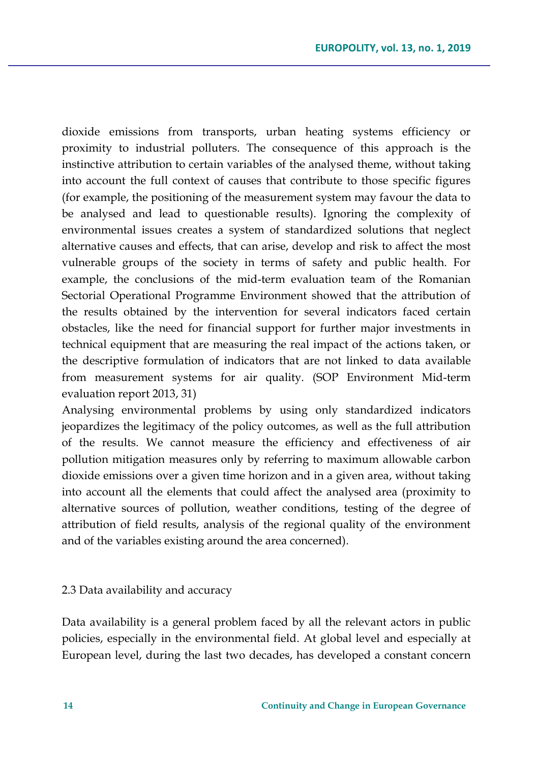dioxide emissions from transports, urban heating systems efficiency or proximity to industrial polluters. The consequence of this approach is the instinctive attribution to certain variables of the analysed theme, without taking into account the full context of causes that contribute to those specific figures (for example, the positioning of the measurement system may favour the data to be analysed and lead to questionable results). Ignoring the complexity of environmental issues creates a system of standardized solutions that neglect alternative causes and effects, that can arise, develop and risk to affect the most vulnerable groups of the society in terms of safety and public health. For example, the conclusions of the mid-term evaluation team of the Romanian Sectorial Operational Programme Environment showed that the attribution of the results obtained by the intervention for several indicators faced certain obstacles, like the need for financial support for further major investments in technical equipment that are measuring the real impact of the actions taken, or the descriptive formulation of indicators that are not linked to data available from measurement systems for air quality. (SOP Environment Mid-term evaluation report 2013, 31)

Analysing environmental problems by using only standardized indicators jeopardizes the legitimacy of the policy outcomes, as well as the full attribution of the results. We cannot measure the efficiency and effectiveness of air pollution mitigation measures only by referring to maximum allowable carbon dioxide emissions over a given time horizon and in a given area, without taking into account all the elements that could affect the analysed area (proximity to alternative sources of pollution, weather conditions, testing of the degree of attribution of field results, analysis of the regional quality of the environment and of the variables existing around the area concerned).

### 2.3 Data availability and accuracy

Data availability is a general problem faced by all the relevant actors in public policies, especially in the environmental field. At global level and especially at European level, during the last two decades, has developed a constant concern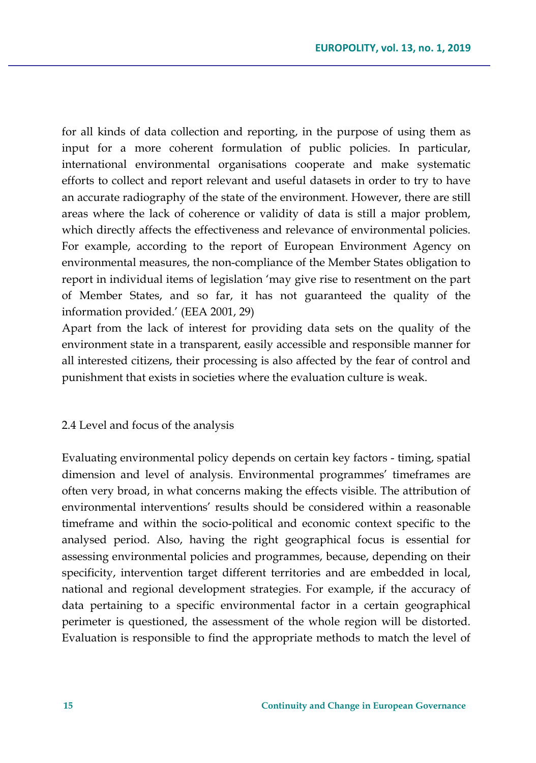for all kinds of data collection and reporting, in the purpose of using them as input for a more coherent formulation of public policies. In particular, international environmental organisations cooperate and make systematic efforts to collect and report relevant and useful datasets in order to try to have an accurate radiography of the state of the environment. However, there are still areas where the lack of coherence or validity of data is still a major problem, which directly affects the effectiveness and relevance of environmental policies. For example, according to the report of European Environment Agency on environmental measures, the non-compliance of the Member States obligation to report in individual items of legislation 'may give rise to resentment on the part of Member States, and so far, it has not guaranteed the quality of the information provided.' (EEA 2001, 29)

Apart from the lack of interest for providing data sets on the quality of the environment state in a transparent, easily accessible and responsible manner for all interested citizens, their processing is also affected by the fear of control and punishment that exists in societies where the evaluation culture is weak.

2.4 Level and focus of the analysis

Evaluating environmental policy depends on certain key factors - timing, spatial dimension and level of analysis. Environmental programmes' timeframes are often very broad, in what concerns making the effects visible. The attribution of environmental interventions' results should be considered within a reasonable timeframe and within the socio-political and economic context specific to the analysed period. Also, having the right geographical focus is essential for assessing environmental policies and programmes, because, depending on their specificity, intervention target different territories and are embedded in local, national and regional development strategies. For example, if the accuracy of data pertaining to a specific environmental factor in a certain geographical perimeter is questioned, the assessment of the whole region will be distorted. Evaluation is responsible to find the appropriate methods to match the level of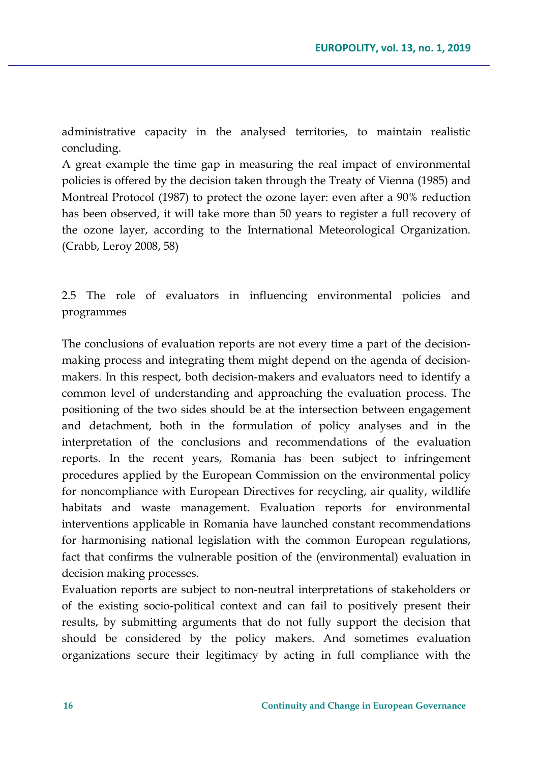administrative capacity in the analysed territories, to maintain realistic concluding.

A great example the time gap in measuring the real impact of environmental policies is offered by the decision taken through the Treaty of Vienna (1985) and Montreal Protocol (1987) to protect the ozone layer: even after a 90% reduction has been observed, it will take more than 50 years to register a full recovery of the ozone layer, according to the International Meteorological Organization. (Crabb, Leroy 2008, 58)

2.5 The role of evaluators in influencing environmental policies and programmes

The conclusions of evaluation reports are not every time a part of the decisionmaking process and integrating them might depend on the agenda of decisionmakers. In this respect, both decision-makers and evaluators need to identify a common level of understanding and approaching the evaluation process. The positioning of the two sides should be at the intersection between engagement and detachment, both in the formulation of policy analyses and in the interpretation of the conclusions and recommendations of the evaluation reports. In the recent years, Romania has been subject to infringement procedures applied by the European Commission on the environmental policy for noncompliance with European Directives for recycling, air quality, wildlife habitats and waste management. Evaluation reports for environmental interventions applicable in Romania have launched constant recommendations for harmonising national legislation with the common European regulations, fact that confirms the vulnerable position of the (environmental) evaluation in decision making processes.

Evaluation reports are subject to non-neutral interpretations of stakeholders or of the existing socio-political context and can fail to positively present their results, by submitting arguments that do not fully support the decision that should be considered by the policy makers. And sometimes evaluation organizations secure their legitimacy by acting in full compliance with the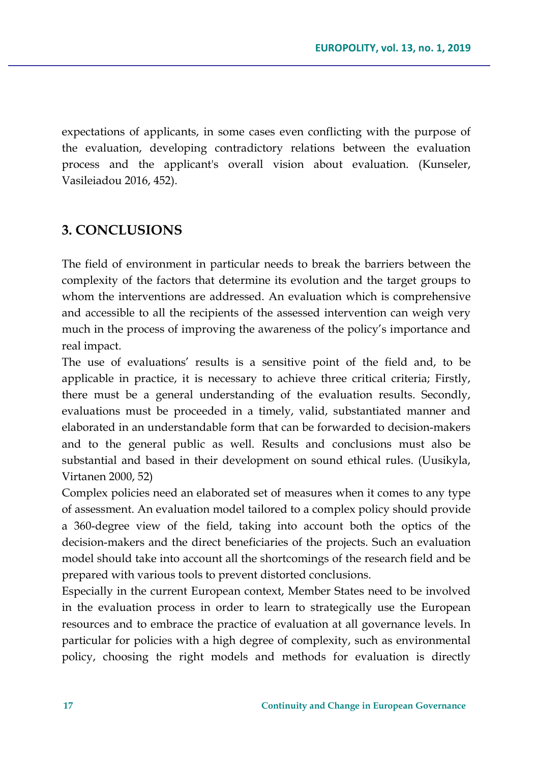expectations of applicants, in some cases even conflicting with the purpose of the evaluation, developing contradictory relations between the evaluation process and the applicant's overall vision about evaluation. (Kunseler, Vasileiadou 2016, 452).

### **3. CONCLUSIONS**

The field of environment in particular needs to break the barriers between the complexity of the factors that determine its evolution and the target groups to whom the interventions are addressed. An evaluation which is comprehensive and accessible to all the recipients of the assessed intervention can weigh very much in the process of improving the awareness of the policy's importance and real impact.

The use of evaluations' results is a sensitive point of the field and, to be applicable in practice, it is necessary to achieve three critical criteria; Firstly, there must be a general understanding of the evaluation results. Secondly, evaluations must be proceeded in a timely, valid, substantiated manner and elaborated in an understandable form that can be forwarded to decision-makers and to the general public as well. Results and conclusions must also be substantial and based in their development on sound ethical rules. (Uusikyla, Virtanen 2000, 52)

Complex policies need an elaborated set of measures when it comes to any type of assessment. An evaluation model tailored to a complex policy should provide a 360-degree view of the field, taking into account both the optics of the decision-makers and the direct beneficiaries of the projects. Such an evaluation model should take into account all the shortcomings of the research field and be prepared with various tools to prevent distorted conclusions.

Especially in the current European context, Member States need to be involved in the evaluation process in order to learn to strategically use the European resources and to embrace the practice of evaluation at all governance levels. In particular for policies with a high degree of complexity, such as environmental policy, choosing the right models and methods for evaluation is directly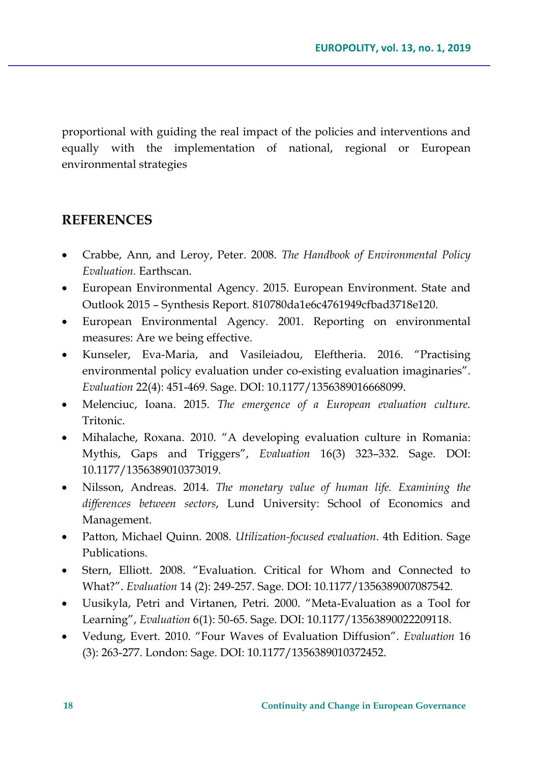proportional with guiding the real impact of the policies and interventions and equally with the implementation of national, regional or European environmental strategies

## **REFERENCES**

- Crabbe, Ann, and Leroy, Peter. 2008. *The Handbook of Environmental Policy Evaluation.* Earthscan.
- European Environmental Agency. 2015. European Environment. State and Outlook 2015 – Synthesis Report. 810780da1e6c4761949cfbad3718e120.
- European Environmental Agency. 2001. Reporting on environmental measures: Are we being effective.
- Kunseler, Eva-Maria, and Vasileiadou, Eleftheria. 2016. "Practising environmental policy evaluation under co-existing evaluation imaginaries". *Evaluation* 22(4): 451-469. Sage. DOI: 10.1177/1356389016668099.
- Melenciuc, Ioana. 2015. *The emergence of a European evaluation culture.*  Tritonic.
- Mihalache, Roxana. 2010. "A developing evaluation culture in Romania: Mythis, Gaps and Triggers", *Evaluation* 16(3) 323–332. Sage. DOI: 10.1177/1356389010373019.
- Nilsson, Andreas. 2014. *The monetary value of human life. Examining the differences between sectors*, Lund University: School of Economics and Management.
- Patton, Michael Quinn. 2008. *Utilization-focused evaluation*. 4th Edition. Sage Publications.
- Stern, Elliott. 2008. "Evaluation. Critical for Whom and Connected to What?". *Evaluation* 14 (2): 249-257. Sage. DOI: 10.1177/1356389007087542.
- Uusikyla, Petri and Virtanen, Petri. 2000. "Meta-Evaluation as a Tool for Learning", *Evaluation* 6(1): 50-65. Sage. DOI: 10.1177/13563890022209118.
- Vedung, Evert. 2010. "Four Waves of Evaluation Diffusion". *Evaluation* 16 (3): 263-277. London: Sage. DOI: 10.1177/1356389010372452.